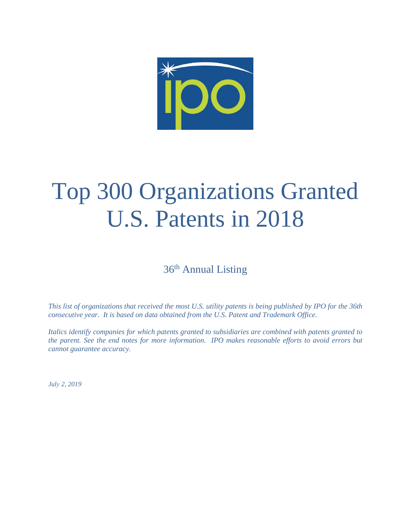

# Top 300 Organizations Granted U.S. Patents in 2018

36<sup>th</sup> Annual Listing

*This list of organizations that received the most U.S. utility patents is being published by IPO for the 36th consecutive year. It is based on data obtained from the U.S. Patent and Trademark Office.* 

*Italics identify companies for which patents granted to subsidiaries are combined with patents granted to the parent. See the end notes for more information. IPO makes reasonable efforts to avoid errors but cannot guarantee accuracy.* 

*July 2, 2019*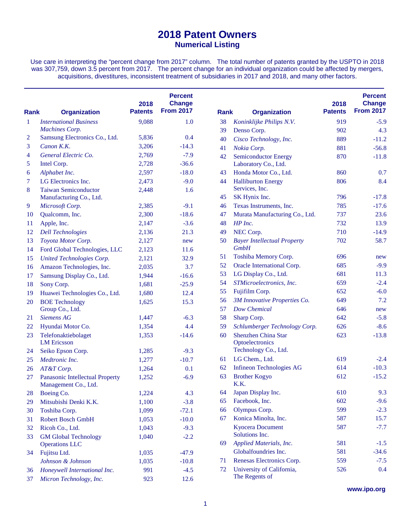## **2018 Patent Owners Numerical Listing**

Use care in interpreting the "percent change from 2017" column. The total number of patents granted by the USPTO in 2018 was 307,759, down 3.5 percent from 2017. The percent change for an individual organization could be affected by mergers, acquisitions, divestitures, inconsistent treatment of subsidiaries in 2017 and 2018, and many other factors.

| <b>Rank</b>  | <b>Organization</b>                                     | 2018<br><b>Patents</b> | <b>Percent</b><br><b>Change</b><br><b>From 2017</b> | <b>Rank</b> | <b>Organization</b>                           | 2018<br><b>Patents</b> | <b>Percent</b><br><b>Change</b><br><b>From 2017</b> |
|--------------|---------------------------------------------------------|------------------------|-----------------------------------------------------|-------------|-----------------------------------------------|------------------------|-----------------------------------------------------|
| $\mathbf{1}$ | <b>International Business</b>                           | 9,088                  | 1.0                                                 | 38          | Koninklijke Philips N.V.                      | 919                    | $-5.9$                                              |
|              | Machines Corp.                                          |                        |                                                     | 39          | Denso Corp.                                   | 902                    | 4.3                                                 |
| 2            | Samsung Electronics Co., Ltd.                           | 5,836                  | 0.4                                                 | 40          | Cisco Technology, Inc.                        | 889                    | $-11.2$                                             |
| 3            | Canon K.K.                                              | 3,206                  | $-14.3$                                             | 41          | Nokia Corp.                                   | 881                    | $-56.8$                                             |
| 4            | General Electric Co.                                    | 2,769                  | $-7.9$                                              | 42          | <b>Semiconductor Energy</b>                   | 870                    | $-11.8$                                             |
| 5            | Intel Corp.                                             | 2,728                  | $-36.6$                                             |             | Laboratory Co., Ltd.                          |                        |                                                     |
| 6            | Alphabet Inc.                                           | 2,597                  | $-18.0$                                             | 43          | Honda Motor Co., Ltd.                         | 860                    | 0.7                                                 |
| 7            | LG Electronics Inc.                                     | 2,473                  | $-9.0$                                              | 44          | <b>Halliburton Energy</b>                     | 806                    | 8.4                                                 |
| 8            | <b>Taiwan Semiconductor</b>                             | 2,448                  | 1.6                                                 |             | Services, Inc.                                |                        |                                                     |
|              | Manufacturing Co., Ltd.                                 |                        |                                                     | 45          | SK Hynix Inc.                                 | 796                    | $-17.8$                                             |
| 9            | Microsoft Corp.                                         | 2,385                  | $-9.1$                                              | 46          | Texas Instruments, Inc.                       | 785                    | $-17.6$                                             |
| 10           | Qualcomm, Inc.                                          | 2,300                  | $-18.6$                                             | 47          | Murata Manufacturing Co., Ltd.                | 737                    | 23.6                                                |
| 11           | Apple, Inc.                                             | 2,147                  | $-3.6$                                              | 48          | HP Inc.                                       | 732                    | 13.9                                                |
| 12           | <b>Dell Technologies</b>                                | 2,136                  | 21.3                                                | 49          | NEC Corp.                                     | 710                    | $-14.9$                                             |
| 13           | Toyota Motor Corp.                                      | 2,127                  | new                                                 | 50          | <b>Bayer Intellectual Property</b>            | 702                    | 58.7                                                |
| 14           | Ford Global Technologies, LLC                           | 2,123                  | 11.6                                                |             | <b>GmbH</b>                                   |                        |                                                     |
| 15           | United Technologies Corp.                               | 2,121                  | 32.9                                                | 51          | Toshiba Memory Corp.                          | 696                    | new                                                 |
| 16           | Amazon Technologies, Inc.                               | 2,035                  | 3.7                                                 | 52          | Oracle International Corp.                    | 685                    | $-9.9$                                              |
| 17           | Samsung Display Co., Ltd.                               | 1,944                  | $-16.6$                                             | 53          | LG Display Co., Ltd.                          | 681                    | 11.3                                                |
| 18           | Sony Corp.                                              | 1,681                  | $-25.9$                                             | 54          | STMicroelectronics, Inc.                      | 659                    | $-2.4$                                              |
| 19           | Huawei Technologies Co., Ltd.                           | 1,680                  | 12.4                                                | 55          | Fujifilm Corp.                                | 652                    | $-6.0$                                              |
| 20           | <b>BOE</b> Technology                                   | 1,625                  | 15.3                                                | 56          | 3M Innovative Properties Co.                  | 649                    | 7.2                                                 |
|              | Group Co., Ltd.                                         |                        |                                                     | 57          | Dow Chemical                                  | 646                    | new                                                 |
| 21           | <b>Siemens AG</b>                                       | 1,447                  | $-6.3$                                              | 58          | Sharp Corp.                                   | 642                    | $-5.8$                                              |
| 22           | Hyundai Motor Co.                                       | 1,354                  | 4.4                                                 | 59          | Schlumberger Technology Corp.                 | 626                    | $-8.6$                                              |
| 23           | Telefonaktiebolaget<br><b>LM</b> Ericsson               | 1,353                  | $-14.6$                                             | 60          | <b>Shenzhen China Star</b><br>Optoelectronics | 623                    | $-13.8$                                             |
| 24           | Seiko Epson Corp.                                       | 1,285                  | $-9.3$                                              |             | Technology Co., Ltd.                          |                        |                                                     |
| 25           | Medtronic Inc.                                          | 1,277                  | $-10.7$                                             | 61          | LG Chem., Ltd.                                | 619                    | $-2.4$                                              |
| 26           | AT&T Corp.                                              | 1,264                  | 0.1                                                 | 62          | <b>Infineon Technologies AG</b>               | 614                    | $-10.3$                                             |
| 27           | Panasonic Intellectual Property<br>Management Co., Ltd. | 1,252                  | $-6.9$                                              | 63          | <b>Brother Kogyo</b><br>K.K.                  | 612                    | $-15.2$                                             |
| 28           | Boeing Co.                                              | 1,224                  | 4.3                                                 | 64          | Japan Display Inc.                            | 610                    | 9.3                                                 |
| 29           | Mitsubishi Denki K.K.                                   | 1,100                  | $-3.8$                                              | 65          | Facebook, Inc.                                | 602                    | $-9.6$                                              |
| 30           | Toshiba Corp.                                           | 1,099                  | $-72.1$                                             | 66          | Olympus Corp.                                 | 599                    | $-2.3$                                              |
| 31           | Robert Bosch GmbH                                       | 1,053                  | $-10.0$                                             | 67          | Konica Minolta, Inc.                          | 587                    | 15.7                                                |
| 32           | Ricoh Co., Ltd.                                         | 1,043                  | $-9.3$                                              |             | <b>Kyocera Document</b>                       | 587                    | $-7.7$                                              |
| 33           | <b>GM Global Technology</b>                             | 1,040                  | $-2.2$                                              |             | Solutions Inc.                                |                        |                                                     |
|              | <b>Operations LLC</b>                                   |                        |                                                     | 69          | Applied Materials, Inc.                       | 581                    | $-1.5$                                              |
| 34           | Fujitsu Ltd.                                            | 1,035                  | $-47.9$                                             |             | Globalfoundries Inc.                          | 581                    | $-34.6$                                             |
|              | Johnson & Johnson                                       | 1,035                  | $-10.8$                                             | 71          | Renesas Electronics Corp.                     | 559                    | $-7.5$                                              |
| 36           | Honeywell International Inc.                            | 991                    | $-4.5$                                              | 72          | University of California,                     | 526                    | 0.4                                                 |
| 37           | Micron Technology, Inc.                                 | 923                    | 12.6                                                |             | The Regents of                                |                        |                                                     |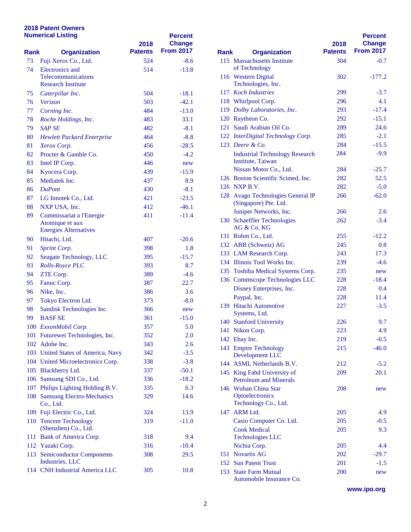### **2018 Patent Owners Numerical Listing**

|      | <b>Numerical Listing</b>                        | 2018           | <b>Percent</b><br><b>Change</b> |             |                                                |
|------|-------------------------------------------------|----------------|---------------------------------|-------------|------------------------------------------------|
| Rank | <b>Organization</b>                             | <b>Patents</b> | <b>From 2017</b>                | <b>Rank</b> | <b>Organization</b>                            |
| 73   | Fuji Xerox Co., Ltd.                            | 524            | $-8.6$                          |             | 115 Massachusetts Institute                    |
| 74   | <b>Electronics</b> and                          | 514            | $-13.8$                         |             | of Technology                                  |
|      | Telecommunications<br><b>Research Institute</b> |                |                                 |             | 116 Western Digital<br>Technologies, Inc.      |
| 75   | Caterpillar Inc.                                | 504            | $-18.1$                         |             | 117 Koch Industries                            |
| 76   | <b>Verizon</b>                                  | 503            | $-42.1$                         |             | 118 Whirlpool Corp.                            |
| 77   | Corning Inc.                                    | 484            | $-13.0$                         |             | 119 Dolby Laboratories, In                     |
| 78   | Roche Holdings, Inc.                            | 483            | 33.1                            |             | 120 Raytheon Co.                               |
| 79   | <b>SAP SE</b>                                   | 482            | $-8.1$                          |             | 121 Saudi Arabian Oil Co.                      |
| 80   | <b>Hewlett Packard Enterprise</b>               | 464            | $-8.8$                          |             | 122 InterDigital Technolog                     |
| 81   | Xerox Corp.                                     | 456            | $-28.5$                         |             | 123 Deere & Co.                                |
| 82   | Procter & Gamble Co.                            | 450            | $-4.2$                          |             | <b>Industrial Technology</b>                   |
| 83   | Intel IP Corp.                                  | 446            | new                             |             | Institute, Taiwan                              |
| 84   | Kyocera Corp.                                   | 439            | $-15.9$                         |             | Nissan Motor Co., Ltd                          |
| 85   | Mediatek Inc.                                   | 437            | 8.9                             |             | 126 Boston Scientific Scin                     |
| 86   | <b>DuPont</b>                                   | 430            | $-8.1$                          |             | 126 NXP B.V.                                   |
| 87   | LG Innotek Co., Ltd.                            | 421            | $-23.5$                         |             | 128 Avago Technologies C                       |
| 88   | NXP USA, Inc.                                   | 412            | $-46.1$                         |             | (Singapore) Pte. Ltd.                          |
| 89   | Commissariat a l'Energie                        | 411            | -11.4                           |             | Juniper Networks, Inc.                         |
|      | Atomique et aux<br><b>Energies Alternatives</b> |                |                                 |             | 130 Schaeffler Technologie<br>AG & Co. KG      |
| 90   | Hitachi, Ltd.                                   | 407            | $-20.6$                         |             | 131 Rohm Co., Ltd.                             |
| 91   | Sprint Corp.                                    | 398            | 1.8                             |             | 132 ABB (Schweiz) AG                           |
| 92   | Seagate Technology, LLC                         | 395            | $-15.7$                         |             | 133 LAM Research Corp.                         |
| 93   | Rolls-Royce PLC                                 | 393            | 8.7                             |             | 134 Illinois Tool Works In                     |
| 94   | ZTE Corp.                                       | 389            | $-4.6$                          |             | 135 Toshiba Medical Syste                      |
| 95   | Fanuc Corp.                                     | 387            | 22.7                            |             | 136 Commscope Technolo                         |
| 96   | Nike, Inc.                                      | 386            | 3.6                             |             | Disney Enterprises, Inc                        |
| 97   | Tokyo Electron Ltd.                             | 373            | $-8.0$                          |             | Paypal, Inc.                                   |
| 98   | Sandisk Technologies Inc.                       | 366            | new                             |             | 139 Hitachi Automotive                         |
| 99   | <b>BASF SE</b>                                  | 361            | $-15.0$                         |             | Systems, Ltd.                                  |
|      | 100 ExxonMobil Corp.                            | 357            | 5.0                             |             | 140 Stanford University                        |
|      | 101 Futurewei Technologies, Inc.                | 352            | 2.0                             |             | 141 Nikon Corp.                                |
|      | 102 Adobe Inc.                                  | 343            | 2.6                             |             | 142 Ebay Inc.                                  |
|      | 103 United States of America, Navy              | 342            | $-3.5$                          |             | 143 Empire Technology                          |
|      | 104 United Microelectronics Corp.               | 338            | $-3.8$                          |             | Development LLC                                |
|      | 105 Blackberry Ltd.                             | 337            | $-50.1$                         |             | 144 ASML Netherlands B.                        |
|      | 106 Samsung SDI Co., Ltd.                       | 336            | $-18.2$                         |             | 145 King Fahd University                       |
|      | 107 Philips Lighting Holding B.V.               | 335            | 6.3                             |             | Petroleum and Mineral<br>146 Wuhan China Star  |
|      | 108 Samsung Electro-Mechanics                   | 329            | 14.6                            |             | Optoelectronics                                |
|      | Co., Ltd.                                       |                |                                 |             | Technology Co., Ltd.                           |
|      | 109 Fuji Electric Co., Ltd.                     | 324            | 13.9                            |             | 147 ARM Ltd.                                   |
|      | 110 Tencent Technology                          | 319            | $-11.0$                         |             | Casio Computer Co. L                           |
|      | (Shenzhen) Co., Ltd.                            |                |                                 |             | <b>Cook Medical</b>                            |
|      | 111 Bank of America Corp.                       | 318            | 9.4                             |             | <b>Technologies LLC</b>                        |
|      | 112 Yazaki Corp.                                | 316            | $-10.4$                         |             | Nichia Corp.                                   |
|      | 113 Semiconductor Components                    | 308            | 29.5                            |             | 151 Novartis AG                                |
|      | Industries, LLC                                 |                |                                 |             | 152 Sun Patent Trust                           |
|      | 114 CNH Industrial America LLC                  | 305            | 10.8                            |             | 153 State Farm Mutual<br>Automobile Incurronge |

|             |                                                              |                        | <b>Percent</b>                    |
|-------------|--------------------------------------------------------------|------------------------|-----------------------------------|
| <b>Rank</b> | <b>Organization</b>                                          | 2018<br><b>Patents</b> | <b>Change</b><br><b>From 2017</b> |
|             | 115 Massachusetts Institute                                  | 304                    | $-0.7$                            |
|             | of Technology                                                |                        |                                   |
|             | 116 Western Digital                                          | 302                    | $-177.2$                          |
|             | Technologies, Inc.                                           |                        |                                   |
|             | 117 Koch Industries                                          | 299                    | $-3.7$                            |
|             | 118 Whirlpool Corp.                                          | 296                    | 4.1                               |
|             | 119 Dolby Laboratories, Inc.                                 | 293                    | $-17.4$                           |
|             | 120 Raytheon Co.                                             | 292                    | $-15.1$                           |
|             | 121 Saudi Arabian Oil Co.                                    | 289                    | 24.6                              |
|             | 122 InterDigital Technology Corp.                            | 285                    | $-2.1$                            |
|             | 123 Deere & Co.                                              | 284                    | $-15.5$                           |
|             | <b>Industrial Technology Research</b>                        | 284                    | $-9.9$                            |
|             | Institute, Taiwan                                            |                        |                                   |
|             | Nissan Motor Co., Ltd.                                       | 284                    | $-25.7$                           |
|             | 126 Boston Scientific Scimed, Inc.                           | 282                    | 52.5                              |
|             | 126 NXP B.V.                                                 | 282                    | $-5.0$                            |
|             | 128 Avago Technologies General IP<br>(Singapore) Pte. Ltd.   | 266                    | $-62.0$                           |
|             | Juniper Networks, Inc.                                       | 266                    | 2.6                               |
|             | 130 Schaeffler Technologies                                  | 262                    | $-3.4$                            |
|             | AG & Co. KG                                                  |                        |                                   |
|             | 131 Rohm Co., Ltd.                                           | 255                    | $-12.2$                           |
|             | 132 ABB (Schweiz) AG                                         | 245                    | 0.8                               |
|             | 133 LAM Research Corp.                                       | 243                    | 17.3                              |
|             | 134 Illinois Tool Works Inc.                                 | 239                    | $-4.6$                            |
|             | 135 Toshiba Medical Systems Corp.                            | 235                    | new                               |
|             | 136 Commscope Technologies LLC                               | 228                    | $-18.4$                           |
|             | Disney Enterprises, Inc.                                     | 228                    | 0.4                               |
|             | Paypal, Inc.                                                 | 228                    | 11.4                              |
|             | 139 Hitachi Automotive<br>Systems, Ltd.                      | 227                    | $-3.5$                            |
|             | 140 Stanford University                                      | 226                    | 9.7                               |
| 141         | Nikon Corp.                                                  | 223                    | 4.9                               |
| 142         | Ebay Inc.                                                    | 219                    | $-0.5$                            |
|             | 143 Empire Technology<br>Development LLC                     | 215                    | $-46.0$                           |
|             | 144 ASML Netherlands B.V.                                    | 212                    | $-5.2$                            |
|             | 145 King Fahd University of<br><b>Petroleum and Minerals</b> | 209                    | 20.1                              |
|             | 146 Wuhan China Star                                         | 208                    | new                               |
|             | Optoelectronics<br>Technology Co., Ltd.                      |                        |                                   |
| 147         | <b>ARM Ltd.</b>                                              | 205                    | 4.9                               |
|             | Casio Computer Co. Ltd.                                      | 205                    | $-0.5$                            |
|             | <b>Cook Medical</b><br><b>Technologies LLC</b>               | 205                    | 9.3                               |
|             | Nichia Corp.                                                 | 205                    | 4.4                               |
|             | 151 Novartis AG                                              | 202                    | $-29.7$                           |
|             | 152 Sun Patent Trust                                         | 201                    | $-1.5$                            |
|             | 153 State Farm Mutual<br>Automobile Insurance Co.            | 200                    | new                               |

**www.ipo.org**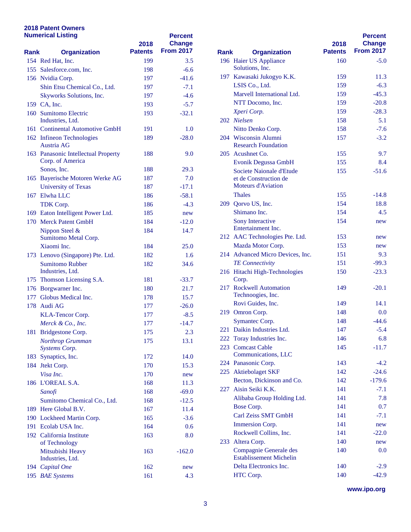### **2018 Patent Owners Numerical Listing**

| <b>Numerical Listing</b> |                                            | 2018           | <b>Percent</b><br><b>Change</b> |             |                                                      |
|--------------------------|--------------------------------------------|----------------|---------------------------------|-------------|------------------------------------------------------|
| Rank                     | <b>Organization</b>                        | <b>Patents</b> | <b>From 2017</b>                | <b>Rank</b> | <b>Organization</b>                                  |
|                          | 154 Red Hat, Inc.                          | 199            | 3.5                             |             | 196 Haier US Appliance                               |
|                          | 155 Salesforce.com, Inc.                   | 198            | $-6.6$                          |             | Solutions, Inc.                                      |
|                          | 156 Nvidia Corp.                           | 197            | $-41.6$                         |             | 197 Kawasaki Jukogyo K.1                             |
|                          | Shin Etsu Chemical Co., Ltd.               | 197            | $-7.1$                          |             | LSIS Co., Ltd.                                       |
|                          | Skyworks Solutions, Inc.                   | 197            | $-4.6$                          |             | <b>Marvell International I</b>                       |
|                          | 159 CA, Inc.                               | 193            | $-5.7$                          |             | NTT Docomo, Inc.                                     |
|                          | 160 Sumitomo Electric                      | 193            | $-32.1$                         |             | Xperi Corp.                                          |
|                          | Industries, Ltd.                           |                |                                 |             | 202 Nielsen                                          |
|                          | 161 Continental Automotive GmbH            | 191            | 1.0                             |             | Nitto Denko Corp.                                    |
|                          | 162 Infineon Technologies<br>Austria AG    | 189            | $-28.0$                         |             | 204 Wisconsin Alumni<br><b>Research Foundation</b>   |
|                          | 163 Panasonic Intellectual Property        | 188            | 9.0                             |             | 205 Acushnet Co.                                     |
|                          | Corp. of America                           |                |                                 |             | Evonik Degussa Gmbl                                  |
|                          | Sonos, Inc.                                | 188            | 29.3                            |             | Societe Naionale d'Etu                               |
|                          | 165 Bayerische Motoren Werke AG            | 187            | 7.0                             |             | et de Construction de                                |
|                          | <b>University of Texas</b>                 | 187            | -17.1                           |             | <b>Moteurs d'Aviation</b>                            |
|                          | 167 Elwha LLC                              | 186            | $-58.1$                         |             | <b>Thales</b>                                        |
|                          | TDK Corp.                                  | 186            | $-4.3$                          |             | 209 Qorvo US, Inc.                                   |
|                          | 169 Eaton Intelligent Power Ltd.           | 185            | new                             |             | Shimano Inc.                                         |
|                          | 170 Merck Patent GmbH                      | 184            | $-12.0$                         |             | <b>Sony Interactive</b>                              |
|                          | Nippon Steel &                             | 184            | 14.7                            |             | Entertainment Inc.                                   |
|                          | Sumitomo Metal Corp.                       |                |                                 |             | 212 AAC Technologies Pte                             |
|                          | Xiaomi Inc.                                | 184            | 25.0                            |             | Mazda Motor Corp.                                    |
|                          | 173 Lenovo (Singapore) Pte. Ltd.           | 182            | 1.6                             |             | 214 Advanced Micro Devi                              |
|                          | <b>Sumitomo Rubber</b><br>Industries, Ltd. | 182            | 34.6                            |             | <b>TE</b> Connectivity<br>216 Hitachi High-Technolo  |
|                          | 175 Thomson Licensing S.A.                 | 181            | $-33.7$                         |             | Corp.                                                |
|                          | 176 Borgwarner Inc.                        | 180            | 21.7                            |             | 217 Rockwell Automation                              |
|                          | 177 Globus Medical Inc.                    | 178            | 15.7                            |             | Technoogies, Inc.                                    |
|                          | 178 Audi AG                                | 177            | $-26.0$                         |             | Rovi Guides, Inc.                                    |
|                          | KLA-Tencor Corp.                           | 177            | $-8.5$                          |             | 219 Omron Corp.                                      |
|                          | Merck & Co., Inc.                          | 177            | $-14.7$                         |             | Symantec Corp.                                       |
|                          | 181 Bridgestone Corp.                      | 175            | 2.3                             |             | 221 Daikin Industries Ltd.                           |
|                          | Northrop Grumman                           | 175            | 13.1                            |             | 222 Toray Industries Inc.                            |
|                          | Systems Corp.                              |                |                                 |             | 223 Comcast Cable                                    |
|                          | 183 Synaptics, Inc.                        | 172            | 14.0                            |             | Communications, LLC                                  |
|                          | 184 Jtekt Corp.                            | 170            | 15.3                            |             | 224 Panasonic Corp.                                  |
|                          | Visa Inc.                                  | 170            | new                             |             | 225 Aktiebolaget SKF                                 |
|                          | 186 L'OREAL S.A.                           | 168            | 11.3                            |             | Becton, Dickinson and                                |
|                          | Sanofi                                     | 168            | $-69.0$                         |             | 227 Aisin Seiki K.K.                                 |
|                          | Sumitomo Chemical Co., Ltd.                | 168            | $-12.5$                         |             | Alibaba Group Holdin                                 |
|                          | 189 Here Global B.V.                       | 167            | 11.4                            |             | Bose Corp.                                           |
|                          | 190 Lockheed Martin Corp.                  | 165            | $-3.6$                          |             | Carl Zeiss SMT GmbF                                  |
|                          | 191 Ecolab USA Inc.                        | 164            | 0.6                             |             | Immersion Corp.                                      |
|                          | 192 California Institute                   | 163            | 8.0                             |             | Rockwell Collins, Inc.                               |
|                          | of Technology                              |                |                                 |             | 233 Altera Corp.                                     |
|                          | Mitsubishi Heavy<br>Industries, Ltd.       | 163            | $-162.0$                        |             | Compagnie Generale d<br><b>Establissement Michel</b> |
|                          | 194 Capital One                            | 162            | new                             |             | Delta Electronics Inc.                               |
|                          | 195 BAE Systems                            | 161            | 4.3                             |             | HTC Corp.                                            |

|             |                                                          | 2018           | <b>Percent</b><br><b>Change</b> |
|-------------|----------------------------------------------------------|----------------|---------------------------------|
| <b>Rank</b> | <b>Organization</b>                                      | <b>Patents</b> | <b>From 2017</b>                |
|             | 196 Haier US Appliance<br>Solutions, Inc.                | 160            | $-5.0$                          |
| 197         | Kawasaki Jukogyo K.K.                                    | 159            | 11.3                            |
|             | LSIS Co., Ltd.                                           | 159            | $-6.3$                          |
|             | Marvell International Ltd.                               | 159            | $-45.3$                         |
|             | NTT Docomo, Inc.                                         | 159            | $-20.8$                         |
|             | Xperi Corp.                                              | 159            | $-28.3$                         |
|             | 202 Nielsen                                              | 158            | 5.1                             |
|             | Nitto Denko Corp.                                        | 158            | $-7.6$                          |
|             | 204 Wisconsin Alumni<br><b>Research Foundation</b>       | 157            | $-3.2$                          |
|             | 205 Acushnet Co.                                         | 155            | 9.7                             |
|             | Evonik Degussa GmbH                                      | 155            | 8.4                             |
|             | Societe Naionale d'Etude                                 | 155            | $-51.6$                         |
|             | et de Construction de                                    |                |                                 |
|             | <b>Moteurs d'Aviation</b>                                |                |                                 |
|             | <b>Thales</b>                                            | 155            | $-14.8$                         |
|             | 209 Qorvo US, Inc.                                       | 154            | 18.8                            |
|             | Shimano Inc.                                             | 154            | 4.5                             |
|             | Sony Interactive<br>Entertainment Inc.                   | 154            | new                             |
|             | 212 AAC Technologies Pte. Ltd.                           | 153            | new                             |
|             | Mazda Motor Corp.                                        | 153            | new                             |
|             | 214 Advanced Micro Devices, Inc.                         | 151            | 9.3                             |
|             | <b>TE</b> Connectivity                                   | 151            | $-99.3$                         |
|             | 216 Hitachi High-Technologies<br>Corp.                   | 150            | $-23.3$                         |
| 217         | <b>Rockwell Automation</b><br>Technoogies, Inc.          | 149            | $-20.1$                         |
|             | Rovi Guides, Inc.                                        | 149            | 14.1                            |
|             | 219 Omron Corp.                                          | 148            | 0.0                             |
|             | Symantec Corp.                                           | 148            | $-44.6$                         |
| 221         | Daikin Industries Ltd.                                   | 147            | $-5.4$                          |
|             | 222 Toray Industries Inc.                                | 146            | 6.8                             |
| 223         | <b>Comcast Cable</b>                                     | 145            | $-11.7$                         |
|             | Communications, LLC                                      |                |                                 |
|             | 224 Panasonic Corp.                                      | 143            | $-4.2$                          |
|             | 225 Aktiebolaget SKF                                     | 142            | $-24.6$                         |
|             | Becton, Dickinson and Co.                                | 142            | $-179.6$                        |
| 227         | Aisin Seiki K.K.                                         | 141            | $-7.1$                          |
|             | Alibaba Group Holding Ltd.                               | 141            | 7.8                             |
|             | Bose Corp.                                               | 141            | 0.7                             |
|             | Carl Zeiss SMT GmbH                                      | 141            | $-7.1$                          |
|             | Immersion Corp.                                          | 141            | new                             |
|             | Rockwell Collins, Inc.                                   | 141            | $-22.0$                         |
|             | 233 Altera Corp.                                         | 140            | new                             |
|             | Compagnie Generale des<br><b>Establissement Michelin</b> | 140            | 0.0                             |
|             | Delta Electronics Inc.                                   | 140            | $-2.9$                          |
|             | HTC Corp.                                                | 140            | $-42.9$                         |

**www.ipo.org**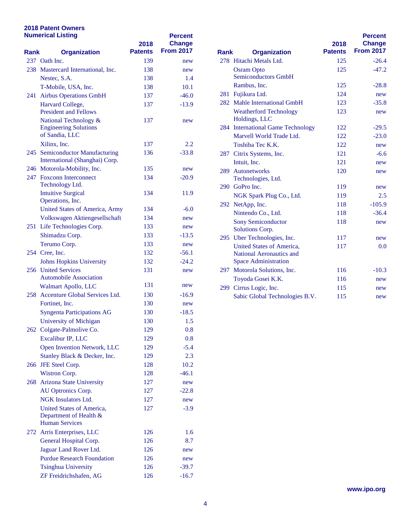## **2018 Patent Owners Numerical Listing**

| <b>Numerical Listing</b> |                                                                              | 2018           | <b>Percent</b><br><b>Change</b> |             |                                                                     |
|--------------------------|------------------------------------------------------------------------------|----------------|---------------------------------|-------------|---------------------------------------------------------------------|
| Rank                     | <b>Organization</b>                                                          | <b>Patents</b> | <b>From 2017</b>                | <b>Rank</b> | <b>Organization</b>                                                 |
|                          | 237 Oath Inc.                                                                | 139            | new                             |             | 278 Hitachi Metals Ltd.                                             |
|                          | 238 Mastercard International, Inc.                                           | 138            | new                             |             | <b>Osram Opto</b>                                                   |
|                          | Nestec, S.A.                                                                 | 138            | 1.4                             |             | <b>Semiconductors GmbH</b>                                          |
|                          | T-Mobile, USA, Inc.                                                          | 138            | 10.1                            |             | Rambus, Inc.                                                        |
|                          | 241 Airbus Operations GmbH                                                   | 137            | $-46.0$                         |             | 281 Fujikura Ltd.                                                   |
|                          | Harvard College,<br><b>President and Fellows</b>                             | 137            | $-13.9$                         |             | 282 Mahle International G<br><b>Weatherford Technolo</b>            |
|                          | National Technology &<br><b>Engineering Solutions</b><br>of Sandia, LLC      | 137            | new                             |             | Holdings, LLC<br>284 International Game Te<br>Marvell World Trade I |
|                          | Xilinx, Inc.                                                                 | 137            | 2.2                             |             | Toshiba Tec K.K.                                                    |
|                          | 245 Semiconductor Manufacturing<br>International (Shanghai) Corp.            | 136            | $-33.8$                         |             | 287 Citrix Systems, Inc.<br>Intuit, Inc.                            |
|                          | 246 Motorola-Mobility, Inc.                                                  | 135            | new                             |             | 289 Autonetworks                                                    |
|                          | 247 Foxconn Interconnect                                                     | 134            | $-20.9$                         |             | Technologies, Ltd.                                                  |
|                          | Technology Ltd.                                                              |                |                                 |             | 290 GoPro Inc.                                                      |
|                          | <b>Intuitive Surgical</b><br>Operations, Inc.                                | 134            | 11.9                            |             | NGK Spark Plug Co.,                                                 |
|                          | <b>United States of America, Army</b>                                        | 134            | $-6.0$                          |             | 292 NetApp, Inc.                                                    |
|                          | Volkswagen Aktiengesellschaft                                                | 134            | new                             |             | Nintendo Co., Ltd.                                                  |
|                          | 251 Life Technologies Corp.                                                  | 133            | new                             |             | <b>Sony Semiconductor</b><br>Solutions Corp.                        |
|                          | Shimadzu Corp.                                                               | 133            | -13.5                           |             | 295 Uber Technologies, In                                           |
|                          | Terumo Corp.                                                                 | 133            | new                             |             | <b>United States of Amer</b>                                        |
|                          | 254 Cree, Inc.                                                               | 132            | -56.1                           |             | <b>National Aeronautics a</b>                                       |
|                          | <b>Johns Hopkins University</b>                                              | 132            | $-24.2$                         |             | <b>Space Administration</b>                                         |
|                          | 256 United Services<br><b>Automobile Association</b>                         | 131            | new                             |             | 297 Motorola Solutions, In<br>Toyoda Gosei K.K.                     |
|                          | Walmart Apollo, LLC                                                          | 131            | new                             |             | 299 Cirrus Logic, Inc.                                              |
|                          | 258 Accenture Global Services Ltd.                                           | 130            | -16.9                           |             | Sabic Global Technolo                                               |
|                          | Fortinet, Inc.                                                               | 130            | new                             |             |                                                                     |
|                          | <b>Syngenta Participations AG</b>                                            | 130            | -18.5                           |             |                                                                     |
|                          | University of Michigan                                                       | 130            | 1.5                             |             |                                                                     |
|                          | 262 Colgate-Palmolive Co.                                                    | 129            | 0.8                             |             |                                                                     |
|                          | Excalibur IP, LLC                                                            | 129            | 0.8                             |             |                                                                     |
|                          | Open Invention Network, LLC                                                  | 129            | $-5.4$                          |             |                                                                     |
|                          | Stanley Black & Decker, Inc.                                                 | 129            | 2.3                             |             |                                                                     |
|                          | 266 JFE Steel Corp.                                                          | 128            | 10.2                            |             |                                                                     |
|                          | Wistron Corp.                                                                | 128            | $-46.1$                         |             |                                                                     |
|                          | 268 Arizona State University                                                 | 127            | new                             |             |                                                                     |
|                          | AU Optronics Corp.                                                           | 127            | $-22.8$                         |             |                                                                     |
|                          | NGK Insulators Ltd.                                                          | 127            | new                             |             |                                                                     |
|                          | United States of America,<br>Department of Health &<br><b>Human Services</b> | 127            | $-3.9$                          |             |                                                                     |
|                          | 272 Arris Enterprises, LLC                                                   | 126            | 1.6                             |             |                                                                     |
|                          | General Hospital Corp.                                                       | 126            | 8.7                             |             |                                                                     |
|                          | Jaguar Land Rover Ltd.                                                       | 126            | new                             |             |                                                                     |
|                          | <b>Purdue Research Foundation</b>                                            | 126            | new                             |             |                                                                     |
|                          | <b>Tsinghua University</b>                                                   | 126            | $-39.7$                         |             |                                                                     |
|                          | ZF Freidrichshafen, AG                                                       | 126            | $-16.7$                         |             |                                                                     |

| <b>Rank</b> | <b>Organization</b>                            | 2018<br><b>Patents</b> | <b>Percent</b><br><b>Change</b><br><b>From 2017</b> |
|-------------|------------------------------------------------|------------------------|-----------------------------------------------------|
|             | 278 Hitachi Metals Ltd.                        | 125                    | $-26.4$                                             |
|             | <b>Osram Opto</b>                              | 125                    | $-47.2$                                             |
|             | <b>Semiconductors GmbH</b>                     |                        |                                                     |
|             | Rambus, Inc.                                   | 125                    | $-28.8$                                             |
| 281         | Fujikura Ltd.                                  | 124                    | new                                                 |
|             | 282 Mahle International GmbH                   | 123                    | $-35.8$                                             |
|             | <b>Weatherford Technology</b><br>Holdings, LLC | 123                    | new                                                 |
|             | 284 International Game Technology              | 122                    | $-29.5$                                             |
|             | Marvell World Trade Ltd.                       | 122                    | $-23.0$                                             |
|             | Toshiba Tec K.K.                               | 122                    | new                                                 |
|             | 287 Citrix Systems, Inc.                       | 121                    | $-6.6$                                              |
|             | Intuit, Inc.                                   | 121                    | new                                                 |
|             | 289 Autonetworks                               | 120                    | new                                                 |
|             | Technologies, Ltd.                             |                        |                                                     |
| 290         | GoPro Inc.                                     | 119                    | new                                                 |
|             | NGK Spark Plug Co., Ltd.                       | 119                    | 2.5                                                 |
|             | 292 NetApp, Inc.                               | 118                    | $-105.9$                                            |
|             | Nintendo Co., Ltd.                             | 118                    | $-36.4$                                             |
|             | <b>Sony Semiconductor</b><br>Solutions Corp.   | 118                    | new                                                 |
|             | 295 Uber Technologies, Inc.                    | 117                    | new                                                 |
|             | United States of America,                      | 117                    | 0.0                                                 |
|             | National Aeronautics and                       |                        |                                                     |
|             | <b>Space Administration</b>                    |                        |                                                     |
|             | 297 Motorola Solutions, Inc.                   | 116                    | $-10.3$                                             |
|             | Toyoda Gosei K.K.                              | 116                    | new                                                 |
| 299         | Cirrus Logic, Inc.                             | 115                    | new                                                 |
|             | Sabic Global Technologies B.V.                 | 115                    | new                                                 |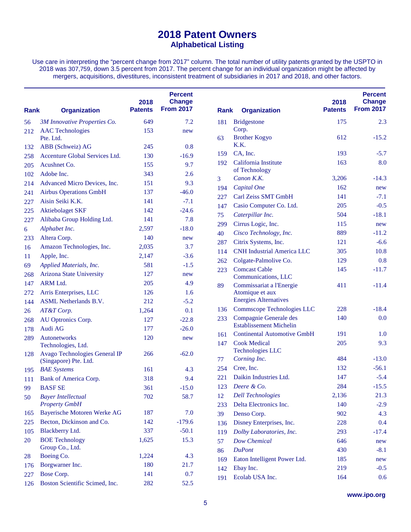## **2018 Patent Owners Alphabetical Listing**

Use care in interpreting the "percent change from 2017" column. The total number of utility patents granted by the USPTO in 2018 was 307,759, down 3.5 percent from 2017. The percent change for an individual organization might be affected by mergers, acquisitions, divestitures, inconsistent treatment of subsidiaries in 2017 and 2018, and other factors.

| Rank | <b>Organization</b>             | 2018<br><b>Patents</b> | <b>Percent</b><br><b>Change</b><br><b>From 2017</b> | Rank | <b>Organization</b>                         | 2018<br><b>Patents</b> | <b>Percent</b><br><b>Change</b><br><b>From 2017</b> |
|------|---------------------------------|------------------------|-----------------------------------------------------|------|---------------------------------------------|------------------------|-----------------------------------------------------|
| 56   | 3M Innovative Properties Co.    | 649                    | 7.2                                                 | 181  | <b>Bridgestone</b>                          | 175                    | 2.3                                                 |
| 212  | <b>AAC</b> Technologies         | 153                    | new                                                 |      | Corp.                                       |                        |                                                     |
|      | Pte. Ltd.                       |                        |                                                     | 63   | <b>Brother Kogyo</b>                        | 612                    | $-15.2$                                             |
| 132  | ABB (Schweiz) AG                | 245                    | 0.8                                                 |      | K.K.                                        |                        |                                                     |
| 258  | Accenture Global Services Ltd.  | 130                    | $-16.9$                                             | 159  | CA, Inc.                                    | 193                    | $-5.7$                                              |
| 205  | Acushnet Co.                    | 155                    | 9.7                                                 | 192  | California Institute<br>of Technology       | 163                    | 8.0                                                 |
| 102  | Adobe Inc.                      | 343                    | 2.6                                                 | 3    | Canon K.K.                                  | 3,206                  | $-14.3$                                             |
| 214  | Advanced Micro Devices, Inc.    | 151                    | 9.3                                                 |      | Capital One                                 | 162                    | new                                                 |
| 241  | <b>Airbus Operations GmbH</b>   | 137                    | $-46.0$                                             | 194  | Carl Zeiss SMT GmbH                         | 141                    | $-7.1$                                              |
| 227  | Aisin Seiki K.K.                | 141                    | $-7.1$                                              | 227  |                                             | 205                    | $-0.5$                                              |
| 225  | <b>Aktiebolaget SKF</b>         | 142                    | $-24.6$                                             | 147  | Casio Computer Co. Ltd.                     |                        |                                                     |
| 227  | Alibaba Group Holding Ltd.      | 141                    | 7.8                                                 | 75   | Caterpillar Inc.                            | 504                    | $-18.1$                                             |
| 6    | Alphabet Inc.                   | 2,597                  | $-18.0$                                             | 299  | Cirrus Logic, Inc.                          | 115                    | new                                                 |
| 233  | Altera Corp.                    | 140                    | new                                                 | 40   | Cisco Technology, Inc.                      | 889                    | $-11.2$                                             |
| 16   | Amazon Technologies, Inc.       | 2,035                  | 3.7                                                 | 287  | Citrix Systems, Inc.                        | 121                    | $-6.6$                                              |
| 11   | Apple, Inc.                     | 2,147                  | $-3.6$                                              | 114  | <b>CNH Industrial America LLC</b>           | 305                    | 10.8                                                |
| 69   | Applied Materials, Inc.         | 581                    | $-1.5$                                              | 262  | Colgate-Palmolive Co.                       | 129                    | 0.8                                                 |
| 268  | <b>Arizona State University</b> | 127                    | new                                                 | 223  | <b>Comcast Cable</b><br>Communications, LLC | 145                    | $-11.7$                                             |
| 147  | ARM Ltd.                        | 205                    | 4.9                                                 | 89   | Commissariat a l'Energie                    | 411                    | $-11.4$                                             |
| 272  | Arris Enterprises, LLC          | 126                    | 1.6                                                 |      | Atomique et aux                             |                        |                                                     |
| 144  | <b>ASML</b> Netherlands B.V.    | 212                    | $-5.2$                                              |      | <b>Energies Alternatives</b>                |                        |                                                     |
| 26   | AT&T Corp.                      | 1,264                  | 0.1                                                 | 136  | Commscope Technologies LLC                  | 228                    | $-18.4$                                             |
| 268  | AU Optronics Corp.              | 127                    | $-22.8$                                             | 233  | Compagnie Generale des                      | 140                    | 0.0                                                 |
| 178  | Audi AG                         | 177                    | $-26.0$                                             |      | <b>Establissement Michelin</b>              |                        |                                                     |
| 289  | Autonetworks                    | 120                    | new                                                 | 161  | <b>Continental Automotive GmbH</b>          | 191                    | 1.0                                                 |
|      | Technologies, Ltd.              |                        |                                                     | 147  | <b>Cook Medical</b>                         | 205                    | 9.3                                                 |
| 128  | Avago Technologies General IP   | 266                    | $-62.0$                                             |      | <b>Technologies LLC</b>                     |                        |                                                     |
|      | (Singapore) Pte. Ltd.           |                        |                                                     | 77   | Corning Inc.                                | 484                    | $-13.0$                                             |
| 195  | <b>BAE</b> Systems              | 161                    | 4.3                                                 | 254  | Cree, Inc.                                  | 132                    | $-56.1$                                             |
| 111  | Bank of America Corp.           | 318                    | 9.4                                                 | 221  | Daikin Industries Ltd.                      | 147                    | $-5.4$                                              |
| 99   | <b>BASF SE</b>                  | 361                    | $-15.0$                                             | 123  | Deere & Co.                                 | 284                    | $-15.5$                                             |
| 50   | <b>Bayer Intellectual</b>       | 702                    | 58.7                                                | 12   | <b>Dell Technologies</b>                    | 2,136                  | 21.3                                                |
|      | <b>Property GmbH</b>            |                        |                                                     | 233  | Delta Electronics Inc.                      | 140                    | $-2.9$                                              |
| 165  | Bayerische Motoren Werke AG     | 187                    | 7.0                                                 | 39   | Denso Corp.                                 | 902                    | 4.3                                                 |
| 225  | Becton, Dickinson and Co.       | 142                    | $-179.6$                                            | 136  | Disney Enterprises, Inc.                    | 228                    | 0.4                                                 |
| 105  | Blackberry Ltd.                 | 337                    | $-50.1$                                             | 119  | Dolby Laboratories, Inc.                    | 293                    | $-17.4$                                             |
| 20   | <b>BOE Technology</b>           | 1,625                  | 15.3                                                | 57   | <b>Dow Chemical</b>                         | 646                    | new                                                 |
|      | Group Co., Ltd.                 |                        |                                                     | 86   | <b>DuPont</b>                               | 430                    | $-8.1$                                              |
| 28   | Boeing Co.                      | 1,224                  | 4.3                                                 | 169  | Eaton Intelligent Power Ltd.                | 185                    | new                                                 |
| 176  | Borgwarner Inc.                 | 180                    | 21.7                                                | 142  | Ebay Inc.                                   | 219                    | $-0.5$                                              |
| 227  | Bose Corp.                      | 141                    | 0.7                                                 | 191  | Ecolab USA Inc.                             | 164                    | 0.6                                                 |
| 126  | Boston Scientific Scimed, Inc.  | 282                    | 52.5                                                |      |                                             |                        |                                                     |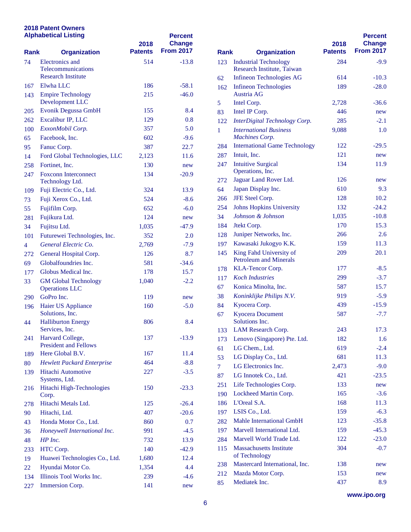### **2018 Patent Owners Alphabetical Listing**

|                                    | <b>Alphabetical Listing</b>                 | 2018           | <b>Percent</b><br><b>Change</b> |                |                                                 |  |
|------------------------------------|---------------------------------------------|----------------|---------------------------------|----------------|-------------------------------------------------|--|
| <b>Rank</b><br><b>Organization</b> |                                             | <b>Patents</b> | <b>From 2017</b>                | <b>Rank</b>    | <b>Organization</b>                             |  |
| 74                                 | Electronics and                             | 514            | $-13.8$                         | 123            | <b>Industrial Technology</b>                    |  |
|                                    | Telecommunications                          |                |                                 |                | Research Institute, Taiw                        |  |
|                                    | <b>Research Institute</b>                   |                |                                 | 62             | Infineon Technologies A                         |  |
| 167                                | Elwha LLC                                   | 186            | $-58.1$                         | 162            | <b>Infineon Technologies</b>                    |  |
| 143                                | <b>Empire Technology</b><br>Development LLC | 215            | $-46.0$                         |                | Austria AG                                      |  |
| 205                                | Evonik Degussa GmbH                         | 155            | 8.4                             | 5              | Intel Corp.                                     |  |
| 262                                | Excalibur IP, LLC                           | 129            | 0.8                             | 83             | Intel IP Corp.                                  |  |
| 100                                | ExxonMobil Corp.                            | 357            | 5.0                             | 122            | <b>InterDigital Technology</b>                  |  |
| 65                                 | Facebook, Inc.                              | 602            | $-9.6$                          | 1              | <b>International Business</b><br>Machines Corp. |  |
| 95                                 | Fanuc Corp.                                 | 387            | 22.7                            | 284            | <b>International Game Tecl</b>                  |  |
| 14                                 | Ford Global Technologies, LLC               | 2,123          | 11.6                            | 287            | Intuit, Inc.                                    |  |
| 258                                | Fortinet, Inc.                              | 130            | new                             | 247            | <b>Intuitive Surgical</b>                       |  |
| 247                                | <b>Foxconn Interconnect</b>                 | 134            | $-20.9$                         |                | Operations, Inc.                                |  |
|                                    | Technology Ltd.                             |                |                                 | 272            | Jaguar Land Rover Ltd.                          |  |
| 109                                | Fuji Electric Co., Ltd.                     | 324            | 13.9                            | 64             | Japan Display Inc.                              |  |
| 73                                 | Fuji Xerox Co., Ltd.                        | 524            | $-8.6$                          | 266            | JFE Steel Corp.                                 |  |
| 55                                 | Fujifilm Corp.                              | 652            | $-6.0$                          | 254            | <b>Johns Hopkins Universi</b>                   |  |
| 281                                | Fujikura Ltd.                               | 124            | new                             | 34             | Johnson & Johnson                               |  |
| 34                                 | Fujitsu Ltd.                                | 1,035          | $-47.9$                         | 184            | Jtekt Corp.                                     |  |
| 101                                | Futurewei Technologies, Inc.                | 352            | 2.0                             | 128            | Juniper Networks, Inc.                          |  |
| 4                                  | General Electric Co.                        | 2,769          | $-7.9$                          | 197            | Kawasaki Jukogyo K.K.                           |  |
| 272                                | General Hospital Corp.                      | 126            | 8.7                             | 145            | King Fahd University of                         |  |
| 69                                 | Globalfoundries Inc.                        | 581            | $-34.6$                         |                | <b>Petroleum and Minerals</b>                   |  |
| 177                                | Globus Medical Inc.                         | 178            | 15.7                            | 178            | KLA-Tencor Corp.                                |  |
| 33                                 | <b>GM Global Technology</b>                 | 1,040          | $-2.2$                          | 117            | <b>Koch Industries</b>                          |  |
|                                    | <b>Operations LLC</b>                       |                |                                 | 67             | Konica Minolta, Inc.                            |  |
| 290                                | GoPro Inc.                                  | 119            | new                             | 38             | Koninklijke Philips N.V.                        |  |
| 196                                | Haier US Appliance                          | 160            | $-5.0$                          | 84             | Kyocera Corp.                                   |  |
|                                    | Solutions, Inc.                             |                |                                 | 67             | <b>Kyocera Document</b>                         |  |
| 44                                 | <b>Halliburton Energy</b>                   | 806            | 8.4                             |                | Solutions Inc.                                  |  |
|                                    | Services, Inc.<br>Harvard College,          |                |                                 | 133            | LAM Research Corp.                              |  |
| 241                                | <b>President and Fellows</b>                | 137            | $-13.9$                         | 173            | Lenovo (Singapore) Pte.                         |  |
| 189                                | Here Global B.V.                            | 167            | 11.4                            | 61             | LG Chem., Ltd.                                  |  |
| 80                                 | <b>Hewlett Packard Enterprise</b>           | 464            | $-8.8$                          | 53             | LG Display Co., Ltd.                            |  |
| 139                                | Hitachi Automotive                          | 227            | $-3.5$                          | $\overline{7}$ | LG Electronics Inc.                             |  |
|                                    | Systems, Ltd.                               |                |                                 | 87             | LG Innotek Co., Ltd.                            |  |
| 216                                | Hitachi High-Technologies                   | 150            | $-23.3$                         | 251            | Life Technologies Corp.                         |  |
|                                    | Corp.                                       |                |                                 | 190            | Lockheed Martin Corp.                           |  |
| 278                                | Hitachi Metals Ltd.                         | 125            | $-26.4$                         | 186            | L'Oreal S.A.                                    |  |
| 90                                 | Hitachi, Ltd.                               | 407            | $-20.6$                         | 197            | LSIS Co., Ltd.                                  |  |
| 43                                 | Honda Motor Co., Ltd.                       | 860            | 0.7                             | 282            | Mahle International Gm                          |  |
| 36                                 | Honeywell International Inc.                | 991            | $-4.5$                          | 197            | Marvell International Lt                        |  |
| 48                                 | HP Inc.                                     | 732            | 13.9                            | 284            | Marvell World Trade Lt                          |  |
| 233                                | HTC Corp.                                   | 140            | $-42.9$                         | 115            | <b>Massachusetts Institute</b>                  |  |
| 19                                 | Huawei Technologies Co., Ltd.               | 1,680          | 12.4                            |                | of Technology                                   |  |
| 22                                 | Hyundai Motor Co.                           | 1,354          | 4.4                             | 238            | <b>Mastercard International</b>                 |  |
| 134                                | Illinois Tool Works Inc.                    | 239            | $-4.6$                          | 212            | Mazda Motor Corp.                               |  |
| 227                                | Immersion Corp.                             | 141            | new                             | 85             | Mediatek Inc.                                   |  |

|             |                                                 |                        | <b>Percent</b>                    |
|-------------|-------------------------------------------------|------------------------|-----------------------------------|
| <b>Rank</b> | <b>Organization</b>                             | 2018<br><b>Patents</b> | <b>Change</b><br><b>From 2017</b> |
| 123         | <b>Industrial Technology</b>                    | 284                    | $-9.9$                            |
|             | Research Institute, Taiwan                      |                        |                                   |
| 62          | <b>Infineon Technologies AG</b>                 | 614                    | $-10.3$                           |
| 162         | <b>Infineon Technologies</b><br>Austria AG      | 189                    | $-28.0$                           |
| 5           | Intel Corp.                                     | 2,728                  | -36.6                             |
| 83          | Intel IP Corp.                                  | 446                    | new                               |
| 122         | InterDigital Technology Corp.                   | 285                    | $-2.1$                            |
| 1           | <b>International Business</b>                   | 9,088                  | 1.0                               |
|             | <b>Machines Corp.</b>                           |                        |                                   |
| 284         | <b>International Game Technology</b>            | 122                    | $-29.5$                           |
| 287         | Intuit, Inc.                                    | 121                    | new                               |
| 247         | <b>Intuitive Surgical</b>                       | 134                    | 11.9                              |
|             | Operations, Inc.                                | 126                    |                                   |
| 272<br>64   | Jaguar Land Rover Ltd.<br>Japan Display Inc.    | 610                    | new<br>9.3                        |
| 266         | JFE Steel Corp.                                 | 128                    | 10.2                              |
| 254         | <b>Johns Hopkins University</b>                 | 132                    | $-24.2$                           |
| 34          | Johnson & Johnson                               | 1,035                  | $-10.8$                           |
| 184         | Jtekt Corp.                                     | 170                    | 15.3                              |
| 128         | Juniper Networks, Inc.                          | 266                    | 2.6                               |
| 197         | Kawasaki Jukogyo K.K.                           | 159                    | 11.3                              |
| 145         | King Fahd University of                         | 209                    | 20.1                              |
|             | <b>Petroleum and Minerals</b>                   |                        |                                   |
| 178         | KLA-Tencor Corp.                                | 177                    | $-8.5$                            |
| 117         | <b>Koch Industries</b>                          | 299                    | $-3.7$                            |
| 67          | Konica Minolta, Inc.                            | 587                    | 15.7                              |
| 38          | Koninklijke Philips N.V.                        | 919                    | $-5.9$                            |
| 84          | Kyocera Corp.                                   | 439                    | $-15.9$                           |
| 67          | <b>Kyocera Document</b><br>Solutions Inc.       | 587                    | $-7.7$                            |
| 133         | LAM Research Corp.                              | 243                    | 17.3                              |
| 173         | Lenovo (Singapore) Pte. Ltd.                    | 182                    | 1.6                               |
| 61          | LG Chem., Ltd.                                  | 619                    | $-2.4$                            |
| 53          | LG Display Co., Ltd.                            | 681                    | 11.3                              |
| 7           | LG Electronics Inc.                             | 2,473                  | $-9.0$                            |
| 87          | LG Innotek Co., Ltd.                            | 421                    | $-23.5$                           |
| 251         | Life Technologies Corp.                         | 133                    | new                               |
| 190         | Lockheed Martin Corp.                           | 165                    | $-3.6$                            |
| 186         | L'Oreal S.A.                                    | 168                    | 11.3                              |
| 197         | LSIS Co., Ltd.                                  | 159                    | $-6.3$                            |
| 282         | <b>Mahle International GmbH</b>                 | 123                    | $-35.8$                           |
| 197         | Marvell International Ltd.                      | 159                    | $-45.3$                           |
| 284         | Marvell World Trade Ltd.                        | 122                    | $-23.0$                           |
| 115         | <b>Massachusetts Institute</b><br>of Technology | 304                    | $-0.7$                            |
| 238         | Mastercard International, Inc.                  | 138                    | new                               |
| 212         | Mazda Motor Corp.                               | 153                    | new                               |
| 85          | Mediatek Inc.                                   | 437                    | 8.9                               |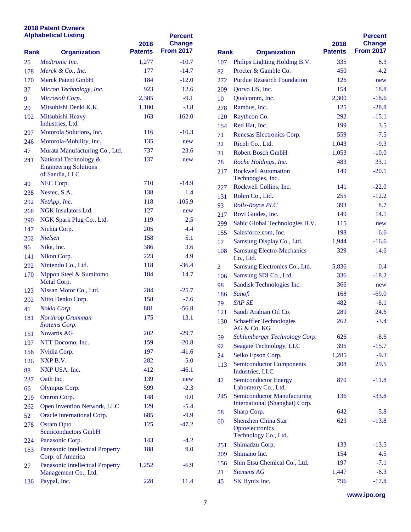## **2018 Patent Owners Alphabetical Listing**

| <b>Alphabetical Listing</b> |                                                         | 2018           | <b>Percent</b><br><b>Change</b> |                |                                                         |
|-----------------------------|---------------------------------------------------------|----------------|---------------------------------|----------------|---------------------------------------------------------|
| <b>Rank</b>                 | <b>Organization</b>                                     | <b>Patents</b> | <b>From 2017</b>                | <b>Rank</b>    | <b>Organization</b>                                     |
| 25                          | Medtronic Inc.                                          | 1,277          | $-10.7$                         | 107            | Philips Lighting Holding                                |
| 178                         | Merck & Co., Inc.                                       | 177            | $-14.7$                         | 82             | Procter & Gamble Co.                                    |
| 170                         | <b>Merck Patent GmbH</b>                                | 184            | $-12.0$                         | 272            | <b>Purdue Research Founda</b>                           |
| 37                          | Micron Technology, Inc.                                 | 923            | 12.6                            | 209            | Qorvo US, Inc.                                          |
| 9                           | Microsoft Corp.                                         | 2,385          | $-9.1$                          | 10             | Qualcomm, Inc.                                          |
| 29                          | Mitsubishi Denki K.K.                                   | 1,100          | $-3.8$                          | 278            | Rambus, Inc.                                            |
| 192                         | Mitsubishi Heavy                                        | 163            | $-162.0$                        | 120            | Raytheon Co.                                            |
|                             | Industries, Ltd.                                        |                |                                 | 154            | Red Hat, Inc.                                           |
| 297                         | Motorola Solutions, Inc.                                | 116            | $-10.3$                         | 71             | <b>Renesas Electronics Cor</b>                          |
| 246                         | Motorola-Mobility, Inc.                                 | 135            | new                             | 32             | Ricoh Co., Ltd.                                         |
| 47                          | Murata Manufacturing Co., Ltd.                          | 737            | 23.6                            | 31             | <b>Robert Bosch GmbH</b>                                |
| 241                         | National Technology &<br><b>Engineering Solutions</b>   | 137            | new                             | 78             | Roche Holdings, Inc.<br><b>Rockwell Automation</b>      |
|                             | of Sandia, LLC                                          |                |                                 | 217            | Technoogies, Inc.                                       |
| 49                          | NEC Corp.                                               | 710            | $-14.9$                         | 227            | Rockwell Collins, Inc.                                  |
| 238                         | Nestec, S.A.                                            | 138            | 1.4                             | 131            | Rohm Co., Ltd.                                          |
| 292                         | NetApp, Inc.                                            | 118            | $-105.9$                        | 93             | Rolls-Royce PLC                                         |
| 268                         | <b>NGK</b> Insulators Ltd.                              | 127            | new                             | 217            | Rovi Guides, Inc.                                       |
| 290                         | NGK Spark Plug Co., Ltd.                                | 119            | 2.5                             | 299            | Sabic Global Technolog                                  |
| 147                         | Nichia Corp.                                            | 205            | 4.4                             | 155            | Salesforce.com, Inc.                                    |
| 202                         | <b>Nielsen</b>                                          | 158            | 5.1                             | 17             | Samsung Display Co., L                                  |
| 96                          | Nike, Inc.                                              | 386            | 3.6                             | 108            | <b>Samsung Electro-Mecha</b>                            |
| 141                         | Nikon Corp.                                             | 223            | 4.9                             |                | Co., Ltd.                                               |
| 292                         | Nintendo Co., Ltd.                                      | 118            | $-36.4$                         | $\overline{2}$ | <b>Samsung Electronics Co</b>                           |
| 170                         | Nippon Steel & Sumitomo<br>Metal Corp.                  | 184            | 14.7                            | 106            | Samsung SDI Co., Ltd.                                   |
| 123                         | Nissan Motor Co., Ltd.                                  | 284            | $-25.7$                         | 98             | Sandisk Technologies In                                 |
| 202                         | Nitto Denko Corp.                                       | 158            | $-7.6$                          | 186            | Sanofi                                                  |
| 41                          | Nokia Corp.                                             | 881            | $-56.8$                         | 79             | <b>SAP SE</b>                                           |
| 181                         | Northrop Grumman                                        | 175            | 13.1                            | 121<br>130     | Saudi Arabian Oil Co.<br><b>Schaeffler Technologies</b> |
|                             | Systems Corp.                                           |                |                                 |                | AG & Co. KG                                             |
| 151                         | <b>Novartis AG</b>                                      | 202            | $-29.7$                         | 59             | Schlumberger Technolo                                   |
| 197                         | NTT Docomo, Inc.                                        | 159            | $-20.8$                         | 92             | Seagate Technology, LI                                  |
| 156                         | Nvidia Corp.                                            | 197            | $-41.6$                         | 24             | Seiko Epson Corp.                                       |
| 126                         | NXP B.V.                                                | 282            | $-5.0$                          | 113            | <b>Semiconductor Compon</b>                             |
| 88                          | NXP USA, Inc.                                           | 412            | $-46.1$                         |                | Industries, LLC                                         |
| 237                         | Oath Inc.                                               | 139            | new                             | 42             | <b>Semiconductor Energy</b>                             |
| 66                          | Olympus Corp.                                           | 599            | $-2.3$                          |                | Laboratory Co., Ltd.                                    |
| 219                         | Omron Corp.                                             | 148            | 0.0                             | 245            | Semiconductor Manufac                                   |
| 262                         | Open Invention Network, LLC                             | 129            | $-5.4$                          |                | International (Shanghai)<br>Sharp Corp.                 |
| 52                          | Oracle International Corp.                              | 685            | $-9.9$                          | 58             | <b>Shenzhen China Star</b>                              |
| 278                         | <b>Osram Opto</b><br><b>Semiconductors GmbH</b>         | 125            | $-47.2$                         | 60             | Optoelectronics<br>Technology Co., Ltd.                 |
| 224                         | Panasonic Corp.                                         | 143            | $-4.2$                          |                | Shimadzu Corp.                                          |
| 163                         | Panasonic Intellectual Property                         | 188            | 9.0                             | 251            |                                                         |
|                             | Corp. of America                                        |                |                                 | 209            | Shimano Inc.                                            |
| 27                          | Panasonic Intellectual Property<br>Management Co., Ltd. | 1,252          | $-6.9$                          | 156<br>21      | Shin Etsu Chemical Co.<br>Siemens AG                    |
| 136                         | Paypal, Inc.                                            | 228            | 11.4                            | 45             | SK Hynix Inc.                                           |

| Rank | <b>Organization</b>                                                  | 2018<br><b>Patents</b> | <b>Percent</b><br><b>Change</b><br><b>From 2017</b> |
|------|----------------------------------------------------------------------|------------------------|-----------------------------------------------------|
| 107  | Philips Lighting Holding B.V.                                        | 335                    | 6.3                                                 |
| 82   | Procter & Gamble Co.                                                 | 450                    | $-4.2$                                              |
| 272  | <b>Purdue Research Foundation</b>                                    | 126                    | new                                                 |
| 209  | Qorvo US, Inc.                                                       | 154                    | 18.8                                                |
| 10   | Qualcomm, Inc.                                                       | 2,300                  | $-18.6$                                             |
| 278  | Rambus, Inc.                                                         | 125                    | $-28.8$                                             |
| 120  | Raytheon Co.                                                         | 292                    | $-15.1$                                             |
| 154  | Red Hat, Inc.                                                        | 199                    | 3.5                                                 |
| 71   | Renesas Electronics Corp.                                            | 559                    | $-7.5$                                              |
| 32   | Ricoh Co., Ltd.                                                      | 1,043                  | $-9.3$                                              |
| 31   | <b>Robert Bosch GmbH</b>                                             | 1,053                  | $-10.0$                                             |
| 78   | Roche Holdings, Inc.                                                 | 483                    | 33.1                                                |
| 217  | <b>Rockwell Automation</b><br>Technoogies, Inc.                      | 149                    | $-20.1$                                             |
| 227  | Rockwell Collins, Inc.                                               | 141                    | $-22.0$                                             |
| 131  | Rohm Co., Ltd.                                                       | 255                    | $-12.2$                                             |
| 93   | Rolls-Royce PLC                                                      | 393                    | 8.7                                                 |
| 217  | Rovi Guides, Inc.                                                    | 149                    | 14.1                                                |
| 299  | Sabic Global Technologies B.V.                                       | 115                    | new                                                 |
| 155  | Salesforce.com, Inc.                                                 | 198                    | $-6.6$                                              |
| 17   | Samsung Display Co., Ltd.                                            | 1,944                  | $-16.6$                                             |
| 108  | <b>Samsung Electro-Mechanics</b><br>Co., Ltd.                        | 329                    | 14.6                                                |
| 2    | Samsung Electronics Co., Ltd.                                        | 5,836                  | 0.4                                                 |
| 106  | Samsung SDI Co., Ltd.                                                | 336                    | $-18.2$                                             |
| 98   | Sandisk Technologies Inc.                                            | 366                    | new                                                 |
| 186  | Sanofi                                                               | 168                    | $-69.0$                                             |
| 79   | <b>SAP SE</b>                                                        | 482                    | $-8.1$                                              |
| 121  | Saudi Arabian Oil Co.                                                | 289                    | 24.6                                                |
| 130  | <b>Schaeffler Technologies</b><br>AG & Co. KG                        | 262                    | $-3.4$                                              |
| 59   | Schlumberger Technology Corp.                                        | 626                    | $-8.6$                                              |
| 92   | Seagate Technology, LLC                                              | 395                    | $-15.7$                                             |
| 24   | Seiko Epson Corp.                                                    | 1,285                  | $-9.3$                                              |
| 113  | <b>Semiconductor Components</b><br>Industries, LLC                   | 308                    | 29.5                                                |
| 42   | <b>Semiconductor Energy</b><br>Laboratory Co., Ltd.                  | 870                    | $-11.8$                                             |
| 245  | <b>Semiconductor Manufacturing</b><br>International (Shanghai) Corp. | 136                    | $-33.8$                                             |
| 58   | Sharp Corp.                                                          | 642                    | $-5.8$                                              |
| 60   | <b>Shenzhen China Star</b><br>Optoelectronics                        | 623                    | $-13.8$                                             |
|      | Technology Co., Ltd.                                                 |                        |                                                     |
| 251  | Shimadzu Corp.                                                       | 133                    | $-13.5$                                             |
| 209  | Shimano Inc.                                                         | 154                    | 4.5                                                 |
| 156  | Shin Etsu Chemical Co., Ltd.                                         | 197                    | $-7.1$                                              |
| 21   | <b>Siemens AG</b>                                                    | 1,447                  | $-6.3$                                              |
| 45   | SK Hynix Inc.                                                        | 796                    | $-17.8$                                             |

**www.ipo.org**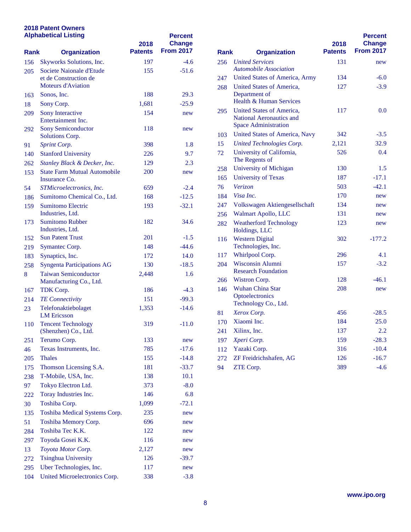## **2018 Patent Owners**

| <b>Alphabetical Listing</b><br><b>Rank</b><br><b>Organization</b> |                                                        | 2018           | <b>Percent</b><br>Change |                                    |                                                               |
|-------------------------------------------------------------------|--------------------------------------------------------|----------------|--------------------------|------------------------------------|---------------------------------------------------------------|
|                                                                   |                                                        | <b>Patents</b> | <b>From 2017</b>         | <b>Rank</b><br><b>Organization</b> |                                                               |
| 156                                                               | Skyworks Solutions, Inc.                               | 197            | $-4.6$                   | 256                                | <b>United Services</b>                                        |
| 205                                                               | Societe Naionale d'Etude                               | 155            | $-51.6$                  |                                    | <b>Automobile Association</b>                                 |
|                                                                   | et de Construction de<br><b>Moteurs d'Aviation</b>     |                |                          | 247                                | <b>United States of Americ</b>                                |
|                                                                   | Sonos, Inc.                                            | 188            | 29.3                     | 268                                | <b>United States of Americ</b><br>Department of               |
| 163<br>18                                                         | Sony Corp.                                             | 1,681          | $-25.9$                  |                                    | Health & Human Servic                                         |
| 209                                                               | Sony Interactive                                       | 154            |                          | 295                                | <b>United States of Americ</b>                                |
|                                                                   | Entertainment Inc.                                     |                | new                      |                                    | <b>National Aeronautics an</b><br><b>Space Administration</b> |
| 292                                                               | <b>Sony Semiconductor</b><br>Solutions Corp.           | 118            | new                      | 103                                | <b>United States of Americ</b>                                |
| 91                                                                | Sprint Corp.                                           | 398            | 1.8                      | 15                                 | <b>United Technologies Co</b>                                 |
| 140                                                               | <b>Stanford University</b>                             | 226            | 9.7                      | 72                                 | University of California                                      |
| 262                                                               | Stanley Black & Decker, Inc.                           | 129            | 2.3                      |                                    | The Regents of                                                |
| 153                                                               | <b>State Farm Mutual Automobile</b>                    | 200            | new                      | 258                                | <b>University of Michigan</b>                                 |
|                                                                   | Insurance Co.                                          |                |                          | 165                                | <b>University of Texas</b>                                    |
| 54                                                                | STMicroelectronics, Inc.                               | 659            | $-2.4$                   | 76                                 | Verizon                                                       |
| 186                                                               | Sumitomo Chemical Co., Ltd.                            | 168            | $-12.5$                  | 184                                | Visa Inc.                                                     |
| 159                                                               | <b>Sumitomo Electric</b>                               | 193            | $-32.1$                  | 247                                | <b>Volkswagen Aktiengese</b>                                  |
|                                                                   | Industries, Ltd.                                       |                |                          | 256                                | Walmart Apollo, LLC                                           |
| 173                                                               | <b>Sumitomo Rubber</b><br>Industries, Ltd.             | 182            | 34.6                     | 282                                | <b>Weatherford Technolog</b><br>Holdings, LLC                 |
| 152                                                               | <b>Sun Patent Trust</b>                                | 201            | $-1.5$                   | 116                                | <b>Western Digital</b>                                        |
| 219                                                               | Symantec Corp.                                         | 148            | $-44.6$                  |                                    | Technologies, Inc.                                            |
| 183                                                               | Synaptics, Inc.                                        | 172            | 14.0                     | 117                                | Whirlpool Corp.                                               |
| 258                                                               | <b>Syngenta Participations AG</b>                      | 130            | $-18.5$                  | 204                                | <b>Wisconsin Alumni</b>                                       |
| 8                                                                 | <b>Taiwan Semiconductor</b><br>Manufacturing Co., Ltd. | 2,448          | 1.6                      | 266                                | <b>Research Foundation</b><br>Wistron Corp.                   |
| 167                                                               | TDK Corp.                                              | 186            | $-4.3$                   | 146                                | <b>Wuhan China Star</b>                                       |
| 214                                                               | <b>TE</b> Connectivity                                 | 151            | $-99.3$                  |                                    | Optoelectronics                                               |
| 23                                                                | Telefonaktiebolaget<br><b>LM</b> Ericsson              | 1,353          | $-14.6$                  | 81                                 | Technology Co., Ltd.<br>Xerox Corp.                           |
| 110                                                               | <b>Tencent Technology</b>                              | 319            | $-11.0$                  | 170                                | Xiaomi Inc.                                                   |
|                                                                   | (Shenzhen) Co., Ltd.                                   |                |                          | 241                                | Xilinx, Inc.                                                  |
| 251                                                               | Terumo Corp.                                           | 133            | new                      | 197                                | Xperi Corp.                                                   |
| 46                                                                | Texas Instruments, Inc.                                | 785            | $-17.6$                  | 112                                | Yazaki Corp.                                                  |
| 205                                                               | <b>Thales</b>                                          | 155            | $-14.8$                  | 272                                | ZF Freidrichshafen, AG                                        |
| 175                                                               | Thomson Licensing S.A.                                 | 181            | $-33.7$                  | 94                                 | ZTE Corp.                                                     |
| 238                                                               | T-Mobile, USA, Inc.                                    | 138            | 10.1                     |                                    |                                                               |
| 97                                                                | Tokyo Electron Ltd.                                    | 373            | $-8.0$                   |                                    |                                                               |
| 222                                                               | Toray Industries Inc.                                  | 146            | 6.8                      |                                    |                                                               |
| 30                                                                | Toshiba Corp.                                          | 1,099          | $-72.1$                  |                                    |                                                               |
| 135                                                               | Toshiba Medical Systems Corp.                          | 235            | new                      |                                    |                                                               |
| 51                                                                | Toshiba Memory Corp.                                   | 696            | new                      |                                    |                                                               |
| 284                                                               | Toshiba Tec K.K.                                       | 122            | new                      |                                    |                                                               |
| 297                                                               | Toyoda Gosei K.K.                                      | 116            | new                      |                                    |                                                               |
| 13                                                                | Toyota Motor Corp.                                     | 2,127          | new                      |                                    |                                                               |
| 272                                                               | <b>Tsinghua University</b>                             | 126            | $-39.7$                  |                                    |                                                               |
| 295                                                               | Uber Technologies, Inc.                                | 117            | new                      |                                    |                                                               |
| 104                                                               | United Microelectronics Corp.                          | 338            | $-3.8$                   |                                    |                                                               |

|                                    |                                                                                             | 2018           | <b>Percent</b><br><b>Change</b> |
|------------------------------------|---------------------------------------------------------------------------------------------|----------------|---------------------------------|
| <b>Rank</b><br><b>Organization</b> |                                                                                             | <b>Patents</b> | <b>From 2017</b>                |
| 256                                | <b>United Services</b><br><b>Automobile Association</b>                                     | 131            | new                             |
| 247                                | <b>United States of America, Army</b>                                                       | 134            | $-6.0$                          |
| 268                                | United States of America.<br>Department of<br>Health & Human Services                       | 127            | $-3.9$                          |
| 295                                | United States of America.<br><b>National Aeronautics and</b><br><b>Space Administration</b> | 117            | 0.0                             |
| 103                                | <b>United States of America, Navy</b>                                                       | 342            | $-3.5$                          |
| 15                                 | United Technologies Corp.                                                                   | 2,121          | 32.9                            |
| 72                                 | University of California,<br>The Regents of                                                 | 526            | 0.4                             |
| 258                                | <b>University of Michigan</b>                                                               | 130            | 1.5                             |
| 165                                | <b>University of Texas</b>                                                                  | 187            | $-17.1$                         |
| 76                                 | <i>Verizon</i>                                                                              | 503            | $-42.1$                         |
| 184                                | Visa Inc.                                                                                   | 170            | new                             |
| 247                                | Volkswagen Aktiengesellschaft                                                               | 134            | new                             |
| 256                                | Walmart Apollo, LLC                                                                         | 131            | new                             |
| 282                                | <b>Weatherford Technology</b><br>Holdings, LLC                                              | 123            | new                             |
| 116                                | <b>Western Digital</b><br>Technologies, Inc.                                                | 302            | $-177.2$                        |
| 117                                | Whirlpool Corp.                                                                             | 296            | 4.1                             |
| 204                                | <b>Wisconsin Alumni</b><br><b>Research Foundation</b>                                       | 157            | $-3.2$                          |
| 266                                | Wistron Corp.                                                                               | 128            | $-46.1$                         |
| 146                                | <b>Wuhan China Star</b><br>Optoelectronics<br>Technology Co., Ltd.                          | 208            | new                             |
| 81                                 | Xerox Corp.                                                                                 | 456            | $-28.5$                         |
| 170                                | Xiaomi Inc.                                                                                 | 184            | 25.0                            |
| 241                                | Xilinx, Inc.                                                                                | 137            | 2.2                             |
| 197                                | Xperi Corp.                                                                                 | 159            | $-28.3$                         |
| 112                                | Yazaki Corp.                                                                                | 316            | $-10.4$                         |
| 272                                | ZF Freidrichshafen, AG                                                                      | 126            | $-16.7$                         |
| 94                                 | ZTE Corp.                                                                                   | 389            | $-4.6$                          |